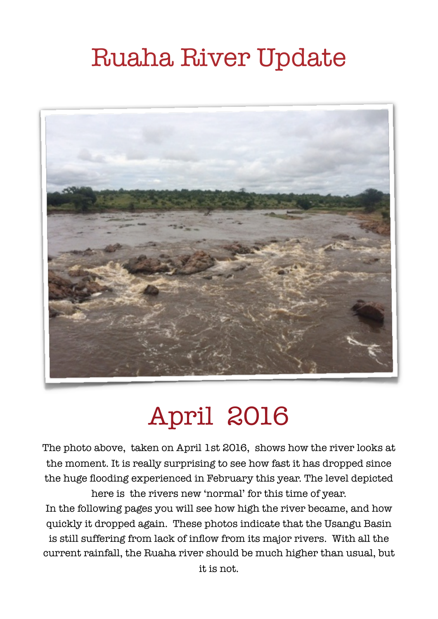# Ruaha River Update



# April 2016

The photo above, taken on April 1st 2016, shows how the river looks at the moment. It is really surprising to see how fast it has dropped since the huge flooding experienced in February this year. The level depicted here is the rivers new 'normal' for this time of year.

In the following pages you will see how high the river became, and how quickly it dropped again. These photos indicate that the Usangu Basin is still suffering from lack of inflow from its major rivers. With all the current rainfall, the Ruaha river should be much higher than usual, but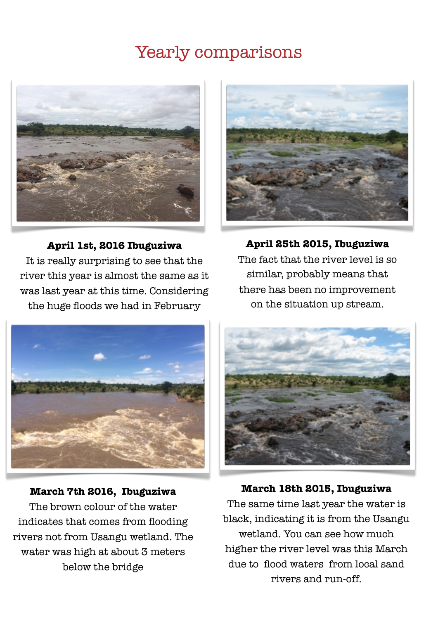### Yearly comparisons



#### **April 1st, 2016 Ibuguziwa**

It is really surprising to see that the river this year is almost the same as it was last year at this time. Considering the huge floods we had in February



**April 25th 2015, Ibuguziwa**  The fact that the river level is so similar, probably means that there has been no improvement on the situation up stream.



#### **March 7th 2016, Ibuguziwa**

The brown colour of the water indicates that comes from flooding rivers not from Usangu wetland. The water was high at about 3 meters below the bridge



**March 18th 2015, Ibuguziwa** The same time last year the water is black, indicating it is from the Usangu wetland. You can see how much higher the river level was this March due to flood waters from local sand rivers and run-off.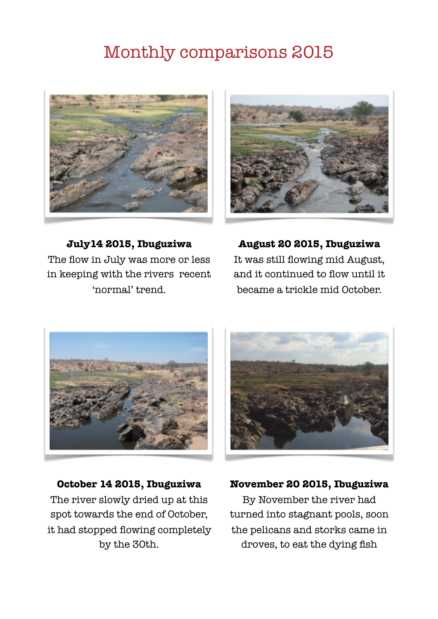## Monthly comparisons 2015





**July14 2015, Ibuguziwa** The flow in July was more or less in keeping with the rivers recent 'normal' trend.

**August 20 2015, Ibuguziwa** It was still flowing mid August, and it continued to flow until it became a trickle mid October.



**October 14 2015, Ibuguziwa** The river slowly dried up at this spot towards the end of October, it had stopped flowing completely by the 30th.



#### **November 20 2015, Ibuguziwa**

By November the river had turned into stagnant pools, soon the pelicans and storks came in droves, to eat the dying fish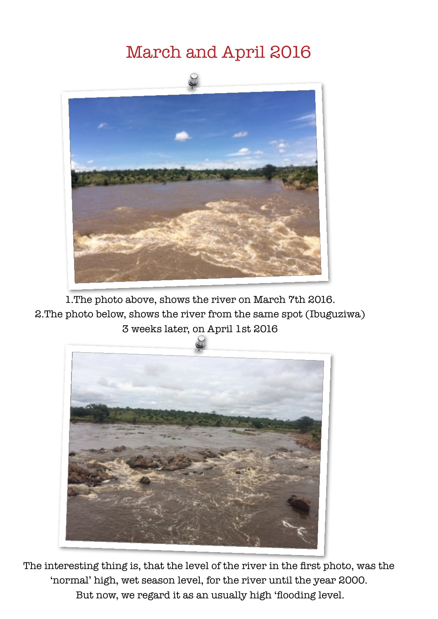## March and April 2016



1.The photo above, shows the river on March 7th 2016. 2.The photo below, shows the river from the same spot (Ibuguziwa) 3 weeks later, on April 1st 2016



 The interesting thing is, that the level of the river in the first photo, was the 'normal' high, wet season level, for the river until the year 2000. But now, we regard it as an usually high 'flooding level.